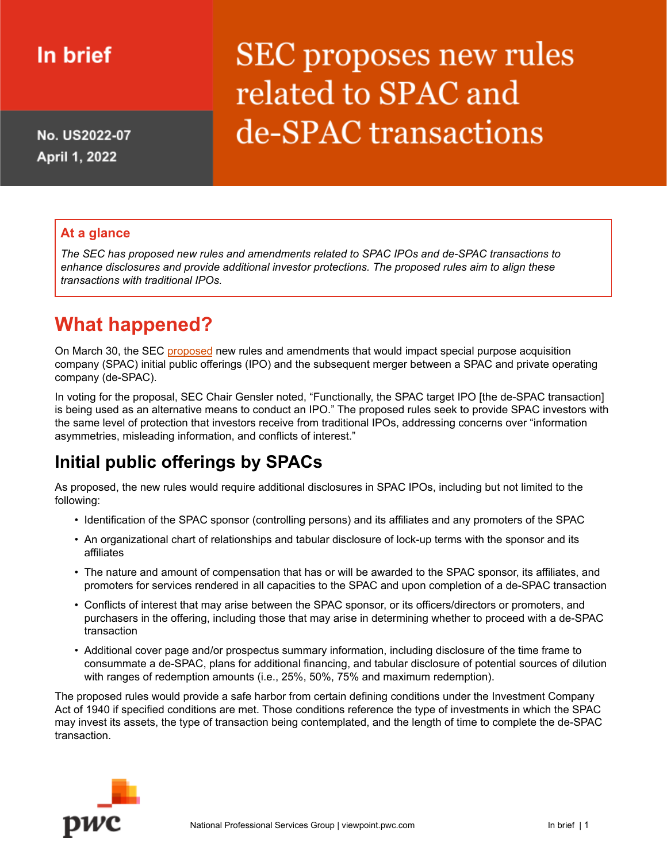## In brief

No. US2022-07 April 1, 2022

# **SEC** proposes new rules related to SPAC and de-SPAC transactions

#### **At a glance**

*The SEC has proposed new rules and amendments related to SPAC IPOs and de-SPAC transactions to enhance disclosures and provide additional investor protections. The proposed rules aim to align these transactions with traditional IPOs.*

### **What happened?**

On March 30, the SEC [proposed](https://www.sec.gov/rules/proposed/2022/33-11048.pdf) new rules and amendments that would impact special purpose acquisition company (SPAC) initial public offerings (IPO) and the subsequent merger between a SPAC and private operating company (de-SPAC).

In voting for the proposal, SEC Chair Gensler noted, "Functionally, the SPAC target IPO [the de-SPAC transaction] is being used as an alternative means to conduct an IPO." The proposed rules seek to provide SPAC investors with the same level of protection that investors receive from traditional IPOs, addressing concerns over "information asymmetries, misleading information, and conflicts of interest."

### **Initial public offerings by SPACs**

As proposed, the new rules would require additional disclosures in SPAC IPOs, including but not limited to the following:

- Identification of the SPAC sponsor (controlling persons) and its affiliates and any promoters of the SPAC
- An organizational chart of relationships and tabular disclosure of lock-up terms with the sponsor and its affiliates
- The nature and amount of compensation that has or will be awarded to the SPAC sponsor, its affiliates, and promoters for services rendered in all capacities to the SPAC and upon completion of a de-SPAC transaction
- Conflicts of interest that may arise between the SPAC sponsor, or its officers/directors or promoters, and purchasers in the offering, including those that may arise in determining whether to proceed with a de-SPAC transaction
- Additional cover page and/or prospectus summary information, including disclosure of the time frame to consummate a de-SPAC, plans for additional financing, and tabular disclosure of potential sources of dilution with ranges of redemption amounts (i.e., 25%, 50%, 75% and maximum redemption).

The proposed rules would provide a safe harbor from certain defining conditions under the Investment Company Act of 1940 if specified conditions are met. Those conditions reference the type of investments in which the SPAC may invest its assets, the type of transaction being contemplated, and the length of time to complete the de-SPAC transaction.

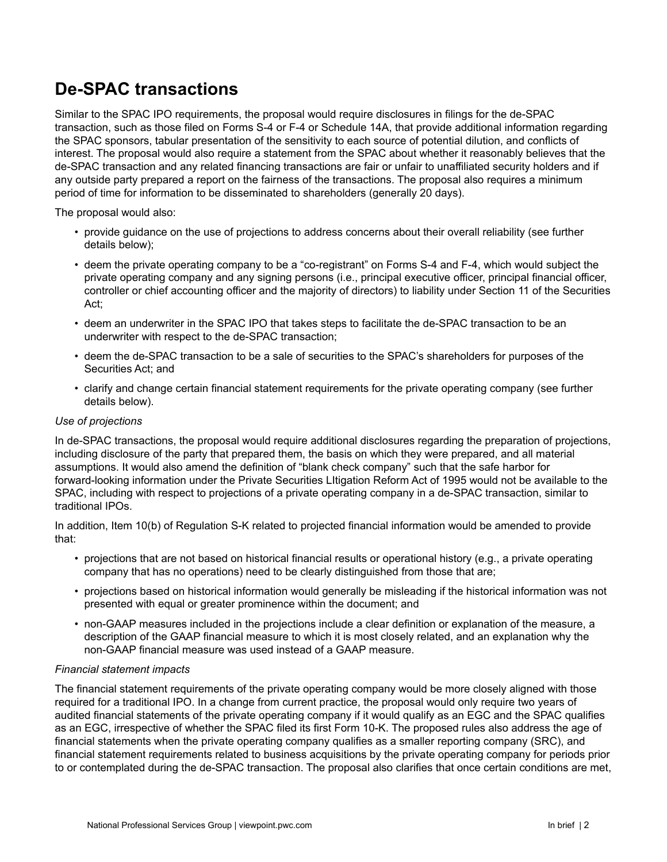### **De-SPAC transactions**

Similar to the SPAC IPO requirements, the proposal would require disclosures in filings for the de-SPAC transaction, such as those filed on Forms S-4 or F-4 or Schedule 14A, that provide additional information regarding the SPAC sponsors, tabular presentation of the sensitivity to each source of potential dilution, and conflicts of interest. The proposal would also require a statement from the SPAC about whether it reasonably believes that the de-SPAC transaction and any related financing transactions are fair or unfair to unaffiliated security holders and if any outside party prepared a report on the fairness of the transactions. The proposal also requires a minimum period of time for information to be disseminated to shareholders (generally 20 days).

The proposal would also:

- provide guidance on the use of projections to address concerns about their overall reliability (see further details below);
- deem the private operating company to be a "co-registrant" on Forms S-4 and F-4, which would subject the private operating company and any signing persons (i.e., principal executive officer, principal financial officer, controller or chief accounting officer and the majority of directors) to liability under Section 11 of the Securities Act;
- deem an underwriter in the SPAC IPO that takes steps to facilitate the de-SPAC transaction to be an underwriter with respect to the de-SPAC transaction;
- deem the de-SPAC transaction to be a sale of securities to the SPAC's shareholders for purposes of the Securities Act; and
- clarify and change certain financial statement requirements for the private operating company (see further details below).

#### *Use of projections*

In de-SPAC transactions, the proposal would require additional disclosures regarding the preparation of projections, including disclosure of the party that prepared them, the basis on which they were prepared, and all material assumptions. It would also amend the definition of "blank check company" such that the safe harbor for forward-looking information under the Private Securities LItigation Reform Act of 1995 would not be available to the SPAC, including with respect to projections of a private operating company in a de-SPAC transaction, similar to traditional IPOs.

In addition, Item 10(b) of Regulation S-K related to projected financial information would be amended to provide that:

- projections that are not based on historical financial results or operational history (e.g., a private operating company that has no operations) need to be clearly distinguished from those that are;
- projections based on historical information would generally be misleading if the historical information was not presented with equal or greater prominence within the document; and
- non-GAAP measures included in the projections include a clear definition or explanation of the measure, a description of the GAAP financial measure to which it is most closely related, and an explanation why the non-GAAP financial measure was used instead of a GAAP measure.

#### *Financial statement impacts*

The financial statement requirements of the private operating company would be more closely aligned with those required for a traditional IPO. In a change from current practice, the proposal would only require two years of audited financial statements of the private operating company if it would qualify as an EGC and the SPAC qualifies as an EGC, irrespective of whether the SPAC filed its first Form 10-K. The proposed rules also address the age of financial statements when the private operating company qualifies as a smaller reporting company (SRC), and financial statement requirements related to business acquisitions by the private operating company for periods prior to or contemplated during the de-SPAC transaction. The proposal also clarifies that once certain conditions are met,